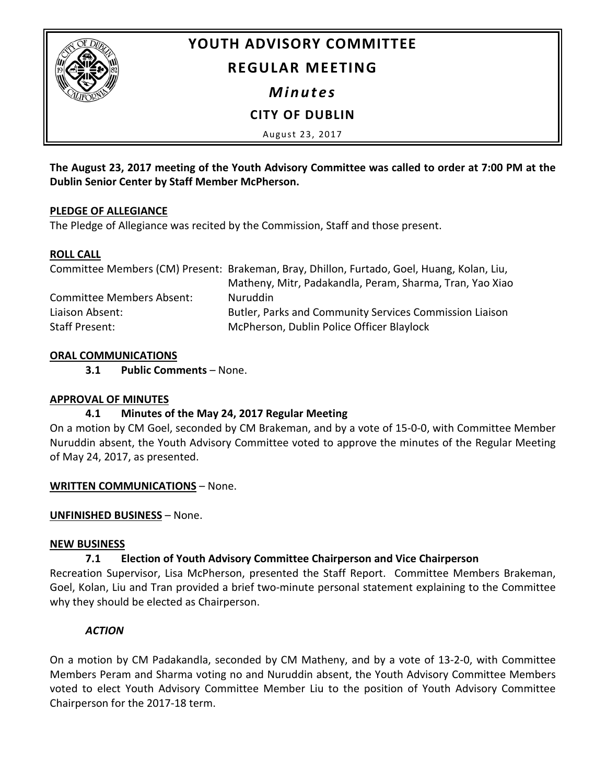

# **YOUTH ADVISORY COMMITTEE**

# **REGULAR MEETING**

*Minutes*

**CITY OF DUBLIN**

August 23, 2017

**The August 23, 2017 meeting of the Youth Advisory Committee was called to order at 7:00 PM at the Dublin Senior Center by Staff Member McPherson.**

# **PLEDGE OF ALLEGIANCE**

The Pledge of Allegiance was recited by the Commission, Staff and those present.

# **ROLL CALL**

|                                  | Committee Members (CM) Present: Brakeman, Bray, Dhillon, Furtado, Goel, Huang, Kolan, Liu, |
|----------------------------------|--------------------------------------------------------------------------------------------|
|                                  | Matheny, Mitr, Padakandla, Peram, Sharma, Tran, Yao Xiao                                   |
| <b>Committee Members Absent:</b> | <b>Nuruddin</b>                                                                            |
| Liaison Absent:                  | Butler, Parks and Community Services Commission Liaison                                    |
| Staff Present:                   | McPherson, Dublin Police Officer Blaylock                                                  |

# **ORAL COMMUNICATIONS**

**3.1 Public Comments** – None.

# **APPROVAL OF MINUTES**

# **4.1 Minutes of the May 24, 2017 Regular Meeting**

On a motion by CM Goel, seconded by CM Brakeman, and by a vote of 15-0-0, with Committee Member Nuruddin absent, the Youth Advisory Committee voted to approve the minutes of the Regular Meeting of May 24, 2017, as presented.

# **WRITTEN COMMUNICATIONS** – None.

# **UNFINISHED BUSINESS** – None.

# **NEW BUSINESS**

# **7.1 Election of Youth Advisory Committee Chairperson and Vice Chairperson**

Recreation Supervisor, Lisa McPherson, presented the Staff Report. Committee Members Brakeman, Goel, Kolan, Liu and Tran provided a brief two-minute personal statement explaining to the Committee why they should be elected as Chairperson.

# *ACTION*

On a motion by CM Padakandla, seconded by CM Matheny, and by a vote of 13-2-0, with Committee Members Peram and Sharma voting no and Nuruddin absent, the Youth Advisory Committee Members voted to elect Youth Advisory Committee Member Liu to the position of Youth Advisory Committee Chairperson for the 2017-18 term.